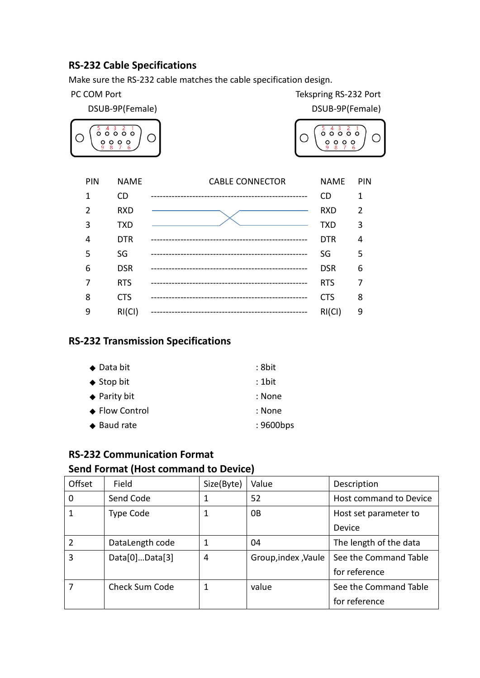# **RS-232 Cable Specifications**

Make sure the RS-232 cable matches the cable specification design.

PC COM Port Tekspring RS-232 Port



| PIN | <b>NAME</b> | <b>CABLE CONNECTOR</b>                 | <b>NAME</b> | <b>PIN</b>     |
|-----|-------------|----------------------------------------|-------------|----------------|
| 1   | <b>CD</b>   | -------------------------------------- | <b>CD</b>   | 1              |
| 2   | <b>RXD</b>  |                                        | <b>RXD</b>  | $\overline{2}$ |
| 3   | <b>TXD</b>  |                                        | TXD         | 3              |
| 4   | <b>DTR</b>  |                                        | <b>DTR</b>  | 4              |
| 5   | SG          |                                        | SG          | 5              |
| 6   | <b>DSR</b>  |                                        | <b>DSR</b>  | 6              |
| 7   | <b>RTS</b>  |                                        | <b>RTS</b>  | 7              |
| 8   | <b>CTS</b>  |                                        | <b>CTS</b>  | 8              |
| 9   | RI(Cl)      |                                        | RI(Cl)      | 9              |

# **RS-232 Transmission Specifications**

| $\blacklozenge$ Data bit | : 8bit    |
|--------------------------|-----------|
| $\triangle$ Stop bit     | $: 1$ bit |
| $\triangle$ Parity bit   | : None    |
| ♦ Flow Control           | : None    |
| $\triangle$ Baud rate    | : 9600bps |

# **RS-232 Communication Format**

# **Send Format (Host command to Device)**

| Offset         | Field            | Size(Byte) | Value               | Description            |
|----------------|------------------|------------|---------------------|------------------------|
| 0              | Send Code        | 1          | 52                  | Host command to Device |
| 1              | <b>Type Code</b> | 1          | 0B                  | Host set parameter to  |
|                |                  |            |                     | Device                 |
| $\overline{2}$ | DataLength code  | 1          | 04                  | The length of the data |
| 3              | Data[0]Data[3]   | 4          | Group, index, Vaule | See the Command Table  |
|                |                  |            |                     | for reference          |
|                | Check Sum Code   | 1          | value               | See the Command Table  |
|                |                  |            |                     | for reference          |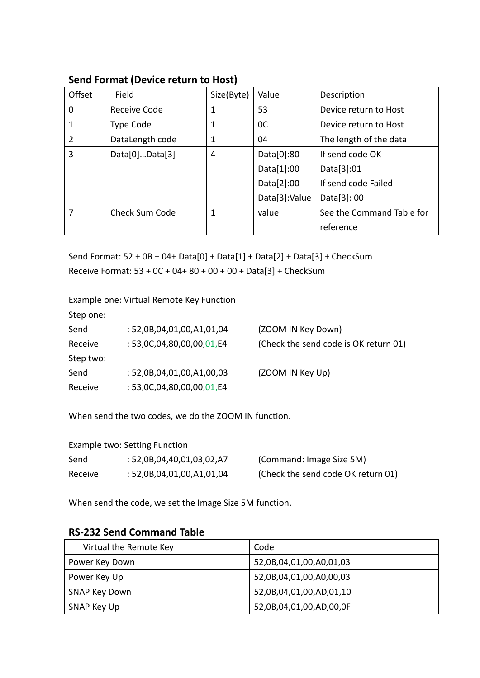### **Send Format (Device return to Host)**

| Offset         | Field                 | Size(Byte) | Value          | Description               |
|----------------|-----------------------|------------|----------------|---------------------------|
| 0              | Receive Code          | 1          | 53             | Device return to Host     |
|                | Type Code             | 1          | <sub>0</sub> C | Device return to Host     |
| $\overline{2}$ | DataLength code       | 1          | 04             | The length of the data    |
| 3              | Data[0]Data[3]        | 4          | Data[0]:80     | If send code OK           |
|                |                       |            | Data[1]:00     | Data[3]:01                |
|                |                       |            | Data[2]:00     | If send code Failed       |
|                |                       |            | Data[3]:Value  | Data[3]: 00               |
|                | <b>Check Sum Code</b> | 1          | value          | See the Command Table for |
|                |                       |            |                | reference                 |

Send Format: 52 + 0B + 04+ Data[0] + Data[1] + Data[2] + Data[3] + CheckSum Receive Format: 53 + 0C + 04+ 80 + 00 + 00 + Data[3] + CheckSum

Example one: Virtual Remote Key Function

Step one:

| Send      | : 52,0B,04,01,00,A1,01,04    | (ZOOM IN Key Down)                    |
|-----------|------------------------------|---------------------------------------|
| Receive   | : $53,0C,04,80,00,00,01, E4$ | (Check the send code is OK return 01) |
| Step two: |                              |                                       |
| Send      | : 52,0B,04,01,00,A1,00,03    | (ZOOM IN Key Up)                      |
| Receive   | : $53,0C,04,80,00,00,01, E4$ |                                       |
|           |                              |                                       |

When send the two codes, we do the ZOOM IN function.

| Example two: Setting Function |                           |                                    |  |  |
|-------------------------------|---------------------------|------------------------------------|--|--|
| Send                          | : 52,0B,04,40,01,03,02,A7 | (Command: Image Size 5M)           |  |  |
| Receive                       | : 52,0B,04,01,00,A1,01,04 | (Check the send code OK return 01) |  |  |

When send the code, we set the Image Size 5M function.

#### **RS-232 Send Command Table**

| Virtual the Remote Key | Code                    |
|------------------------|-------------------------|
| Power Key Down         | 52,0B,04,01,00,A0,01,03 |
| Power Key Up           | 52,0B,04,01,00,A0,00,03 |
| SNAP Key Down          | 52,0B,04,01,00,AD,01,10 |
| SNAP Key Up            | 52,0B,04,01,00,AD,00,0F |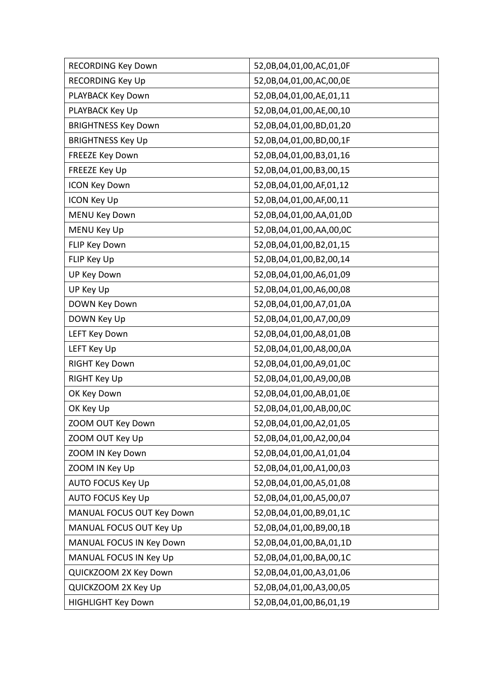| <b>RECORDING Key Down</b>  | 52,0B,04,01,00,AC,01,0F |  |  |
|----------------------------|-------------------------|--|--|
| RECORDING Key Up           | 52,0B,04,01,00,AC,00,0E |  |  |
| PLAYBACK Key Down          | 52,0B,04,01,00,AE,01,11 |  |  |
| PLAYBACK Key Up            | 52,0B,04,01,00,AE,00,10 |  |  |
| <b>BRIGHTNESS Key Down</b> | 52,0B,04,01,00,BD,01,20 |  |  |
| <b>BRIGHTNESS Key Up</b>   | 52,0B,04,01,00,BD,00,1F |  |  |
| <b>FREEZE Key Down</b>     | 52,0B,04,01,00,B3,01,16 |  |  |
| FREEZE Key Up              | 52,0B,04,01,00,B3,00,15 |  |  |
| <b>ICON Key Down</b>       | 52,0B,04,01,00,AF,01,12 |  |  |
| <b>ICON Key Up</b>         | 52,0B,04,01,00,AF,00,11 |  |  |
| <b>MENU Key Down</b>       | 52,0B,04,01,00,AA,01,0D |  |  |
| MENU Key Up                | 52,0B,04,01,00,AA,00,0C |  |  |
| FLIP Key Down              | 52,0B,04,01,00,B2,01,15 |  |  |
| FLIP Key Up                | 52,0B,04,01,00,B2,00,14 |  |  |
| UP Key Down                | 52,0B,04,01,00,A6,01,09 |  |  |
| UP Key Up                  | 52,0B,04,01,00,A6,00,08 |  |  |
| DOWN Key Down              | 52,0B,04,01,00,A7,01,0A |  |  |
| DOWN Key Up                | 52,0B,04,01,00,A7,00,09 |  |  |
| <b>LEFT Key Down</b>       | 52,0B,04,01,00,A8,01,0B |  |  |
| LEFT Key Up                | 52,0B,04,01,00,A8,00,0A |  |  |
| RIGHT Key Down             | 52,0B,04,01,00,A9,01,0C |  |  |
| <b>RIGHT Key Up</b>        | 52,0B,04,01,00,A9,00,0B |  |  |
| OK Key Down                | 52,0B,04,01,00,AB,01,0E |  |  |
| OK Key Up                  | 52,0B,04,01,00,AB,00,0C |  |  |
| ZOOM OUT Key Down          | 52,0B,04,01,00,A2,01,05 |  |  |
| ZOOM OUT Key Up            | 52,0B,04,01,00,A2,00,04 |  |  |
| ZOOM IN Key Down           | 52,0B,04,01,00,A1,01,04 |  |  |
| ZOOM IN Key Up             | 52,0B,04,01,00,A1,00,03 |  |  |
| <b>AUTO FOCUS Key Up</b>   | 52,0B,04,01,00,A5,01,08 |  |  |
| <b>AUTO FOCUS Key Up</b>   | 52,0B,04,01,00,A5,00,07 |  |  |
| MANUAL FOCUS OUT Key Down  | 52,0B,04,01,00,B9,01,1C |  |  |
| MANUAL FOCUS OUT Key Up    | 52,0B,04,01,00,B9,00,1B |  |  |
| MANUAL FOCUS IN Key Down   | 52,0B,04,01,00,BA,01,1D |  |  |
| MANUAL FOCUS IN Key Up     | 52,0B,04,01,00,BA,00,1C |  |  |
| QUICKZOOM 2X Key Down      | 52,0B,04,01,00,A3,01,06 |  |  |
| QUICKZOOM 2X Key Up        | 52,0B,04,01,00,A3,00,05 |  |  |
| <b>HIGHLIGHT Key Down</b>  | 52,0B,04,01,00,B6,01,19 |  |  |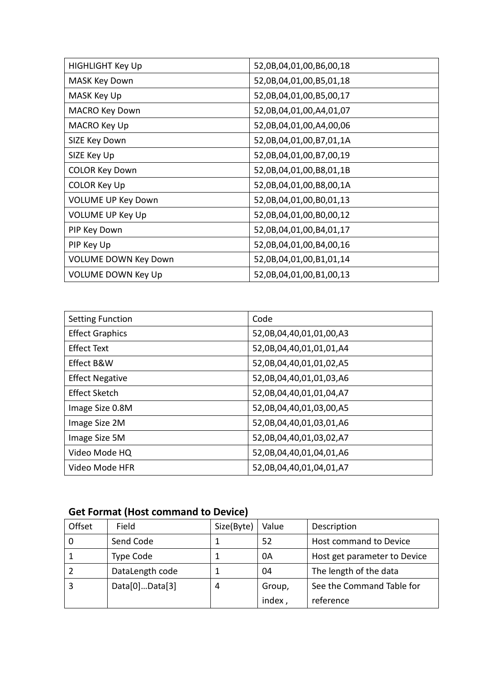| <b>HIGHLIGHT Key Up</b>     | 52,0B,04,01,00,B6,00,18 |
|-----------------------------|-------------------------|
| MASK Key Down               | 52,0B,04,01,00,B5,01,18 |
| MASK Key Up                 | 52,0B,04,01,00,B5,00,17 |
| <b>MACRO Key Down</b>       | 52,0B,04,01,00,A4,01,07 |
| MACRO Key Up                | 52,0B,04,01,00,A4,00,06 |
| SIZE Key Down               | 52,0B,04,01,00,B7,01,1A |
| SIZE Key Up                 | 52,0B,04,01,00,B7,00,19 |
| <b>COLOR Key Down</b>       | 52,0B,04,01,00,B8,01,1B |
| COLOR Key Up                | 52,0B,04,01,00,B8,00,1A |
| <b>VOLUME UP Key Down</b>   | 52,0B,04,01,00,B0,01,13 |
| <b>VOLUME UP Key Up</b>     | 52,0B,04,01,00,B0,00,12 |
| PIP Key Down                | 52,0B,04,01,00,B4,01,17 |
| PIP Key Up                  | 52,0B,04,01,00,B4,00,16 |
| <b>VOLUME DOWN Key Down</b> | 52,0B,04,01,00,B1,01,14 |
| <b>VOLUME DOWN Key Up</b>   | 52,0B,04,01,00,B1,00,13 |

| <b>Setting Function</b> | Code                    |
|-------------------------|-------------------------|
| <b>Effect Graphics</b>  | 52,0B,04,40,01,01,00,A3 |
| <b>Effect Text</b>      | 52,0B,04,40,01,01,01,A4 |
| Effect B&W              | 52,0B,04,40,01,01,02,A5 |
| <b>Effect Negative</b>  | 52,0B,04,40,01,01,03,A6 |
| <b>Effect Sketch</b>    | 52,0B,04,40,01,01,04,A7 |
| Image Size 0.8M         | 52,0B,04,40,01,03,00,A5 |
| Image Size 2M           | 52,0B,04,40,01,03,01,A6 |
| Image Size 5M           | 52,0B,04,40,01,03,02,A7 |
| Video Mode HQ           | 52,0B,04,40,01,04,01,A6 |
| Video Mode HFR          | 52,0B,04,40,01,04,01,A7 |

# **Get Format (Host command to Device)**

| Offset | Field           | Size(Byte) | Value  | Description                  |
|--------|-----------------|------------|--------|------------------------------|
|        | Send Code       |            | 52     | Host command to Device       |
|        | Type Code       |            | 0A     | Host get parameter to Device |
|        | DataLength code |            | 04     | The length of the data       |
| 3      | Data[0]Data[3]  | 4          | Group, | See the Command Table for    |
|        |                 |            | index, | reference                    |